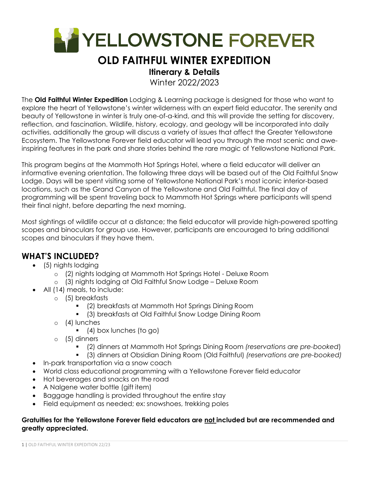

# **OLD FAITHFUL WINTER EXPEDITION**

## **Itinerary & Details**

Winter 2022/2023

The **Old Faithful Winter Expedition** Lodging & Learning package is designed for those who want to explore the heart of Yellowstone's winter wilderness with an expert field educator. The serenity and beauty of Yellowstone in winter is truly one-of-a-kind, and this will provide the setting for discovery, reflection, and fascination. Wildlife, history, ecology, and geology will be incorporated into daily activities, additionally the group will discuss a variety of issues that affect the Greater Yellowstone Ecosystem. The Yellowstone Forever field educator will lead you through the most scenic and aweinspiring features in the park and share stories behind the rare magic of Yellowstone National Park.

This program begins at the Mammoth Hot Springs Hotel, where a field educator will deliver an informative evening orientation. The following three days will be based out of the Old Faithful Snow Lodge. Days will be spent visiting some of Yellowstone National Park's most iconic interior-based locations, such as the Grand Canyon of the Yellowstone and Old Faithful. The final day of programming will be spent traveling back to Mammoth Hot Springs where participants will spend their final night, before departing the next morning.

Most sightings of wildlife occur at a distance; the field educator will provide high-powered spotting scopes and binoculars for group use. However, participants are encouraged to bring additional scopes and binoculars if they have them.

# **WHAT'S INCLUDED?**

- (5) nights lodging
	- o (2) nights lodging at Mammoth Hot Springs Hotel Deluxe Room
	- o (3) nights lodging at Old Faithful Snow Lodge Deluxe Room
- All (14) meals, to include:
	- o (5) breakfasts
		- (2) breakfasts at Mammoth Hot Springs Dining Room
		- (3) breakfasts at Old Faithful Snow Lodge Dining Room
	- o (4) lunches
		- $(4)$  box lunches (to go)
	- o (5) dinners
		- (2) dinners at Mammoth Hot Springs Dining Room *(reservations are pre-booked*)
		- (3) dinners at Obsidian Dining Room (Old Faithful) *(reservations are pre-booked)*
- In-park transportation via a snow coach
- World class educational programming with a Yellowstone Forever field educator
- Hot beverages and snacks on the road
- A Nalgene water bottle (gift item)
- Baggage handling is provided throughout the entire stay
- Field equipment as needed; ex: snowshoes, trekking poles

### **Gratuities for the Yellowstone Forever field educators are not included but are recommended and greatly appreciated.**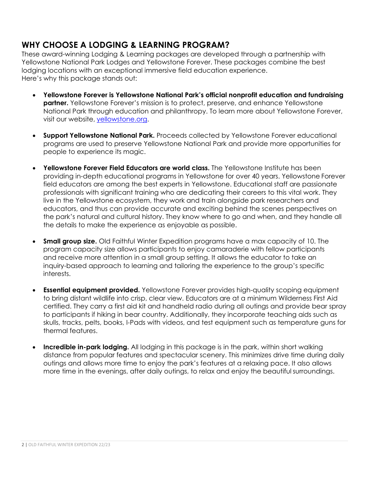# **WHY CHOOSE A LODGING & LEARNING PROGRAM?**

These award-winning Lodging & Learning packages are developed through a partnership with Yellowstone National Park Lodges and Yellowstone Forever. These packages combine the best lodging locations with an exceptional immersive field education experience. Here's why this package stands out:

- **Yellowstone Forever is Yellowstone National Park's official nonprofit education and fundraising partner.** Yellowstone Forever's mission is to protect, preserve, and enhance Yellowstone National Park through education and philanthropy. To learn more about Yellowstone Forever, visit our website, yellowstone.org.
- **Support Yellowstone National Park.** Proceeds collected by Yellowstone Forever educational programs are used to preserve Yellowstone National Park and provide more opportunities for people to experience its magic.
- **Yellowstone Forever Field Educators are world class.** The Yellowstone Institute has been providing in-depth educational programs in Yellowstone for over 40 years. Yellowstone Forever field educators are among the best experts in Yellowstone. Educational staff are passionate professionals with significant training who are dedicating their careers to this vital work. They live in the Yellowstone ecosystem, they work and train alongside park researchers and educators, and thus can provide accurate and exciting behind the scenes perspectives on the park's natural and cultural history. They know where to go and when, and they handle all the details to make the experience as enjoyable as possible.
- **Small group size.** Old Faithful Winter Expedition programs have a max capacity of 10. The program capacity size allows participants to enjoy camaraderie with fellow participants and receive more attention in a small group setting. It allows the educator to take an inquiry-based approach to learning and tailoring the experience to the group's specific interests.
- **Essential equipment provided.** Yellowstone Forever provides high-quality scoping equipment to bring distant wildlife into crisp, clear view. Educators are at a minimum Wilderness First Aid certified. They carry a first aid kit and handheld radio during all outings and provide bear spray to participants if hiking in bear country. Additionally, they incorporate teaching aids such as skulls, tracks, pelts, books, I-Pads with videos, and test equipment such as temperature guns for thermal features.
- **Incredible in-park lodging.** All lodging in this package is in the park, within short walking distance from popular features and spectacular scenery. This minimizes drive time during daily outings and allows more time to enjoy the park's features at a relaxing pace. It also allows more time in the evenings, after daily outings, to relax and enjoy the beautiful surroundings.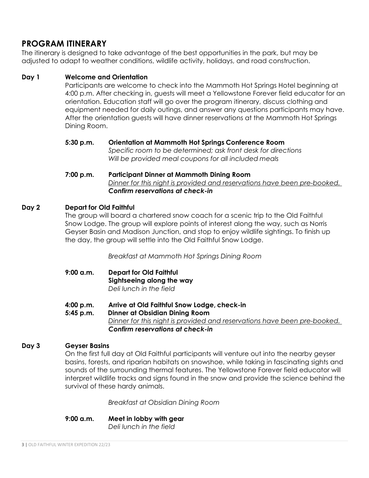# **PROGRAM ITINERARY**

The itinerary is designed to take advantage of the best opportunities in the park, but may be adjusted to adapt to weather conditions, wildlife activity, holidays, and road construction.

## **Day 1 Welcome and Orientation**

Participants are welcome to check into the Mammoth Hot Springs Hotel beginning at 4:00 p.m. After checking in, guests will meet a Yellowstone Forever field educator for an orientation. Education staff will go over the program itinerary, discuss clothing and equipment needed for daily outings, and answer any questions participants may have. After the orientation guests will have dinner reservations at the Mammoth Hot Springs Dining Room.

**5:30 p.m. Orientation at Mammoth Hot Springs Conference Room** *Specific room to be determined; ask front desk for directions Will be provided meal coupons for all included meals* 

### **7:00 p.m. Participant Dinner at Mammoth Dining Room**  *Dinner for this night is provided and reservations have been pre-booked. Confirm reservations at check-in*

### **Day 2 Depart for Old Faithful**

The group will board a chartered snow coach for a scenic trip to the Old Faithful Snow Lodge. The group will explore points of interest along the way, such as Norris Geyser Basin and Madison Junction, and stop to enjoy wildlife sightings. To finish up the day, the group will settle into the Old Faithful Snow Lodge.

*Breakfast at Mammoth Hot Springs Dining Room* 

- **9:00 a.m. Depart for Old Faithful Sightseeing along the way**  *Deli lunch in the field*
- **4:00 p.m. Arrive at Old Faithful Snow Lodge, check-in**
- **5:45 p.m. Dinner at Obsidian Dining Room** *Dinner for this night is provided and reservations have been pre-booked. Confirm reservations at check-in*

### **Day 3 Geyser Basins**

On the first full day at Old Faithful participants will venture out into the nearby geyser basins, forests, and riparian habitats on snowshoe, while taking in fascinating sights and sounds of the surrounding thermal features. The Yellowstone Forever field educator will interpret wildlife tracks and signs found in the snow and provide the science behind the survival of these hardy animals.

*Breakfast at Obsidian Dining Room* 

**9:00 a.m. Meet in lobby with gear** 

*Deli lunch in the field*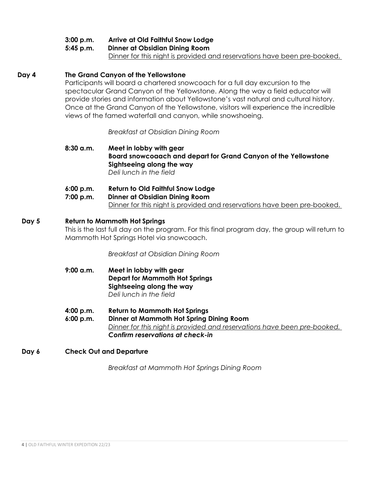## **3:00 p.m. Arrive at Old Faithful Snow Lodge**

**5:45 p.m. Dinner at Obsidian Dining Room**

Dinner for this night is provided and reservations have been pre-booked.

### **Day 4 The Grand Canyon of the Yellowstone**

Participants will board a chartered snowcoach for a full day excursion to the spectacular Grand Canyon of the Yellowstone. Along the way a field educator will provide stories and information about Yellowstone's vast natural and cultural history. Once at the Grand Canyon of the Yellowstone, visitors will experience the incredible views of the famed waterfall and canyon, while snowshoeing.

*Breakfast at Obsidian Dining Room* 

**8:30 a.m. Meet in lobby with gear Board snowcoaach and depart for Grand Canyon of the Yellowstone Sightseeing along the way**  *Deli lunch in the field* 

**6:00 p.m. Return to Old Faithful Snow Lodge 7:00 p.m. Dinner at Obsidian Dining Room** Dinner for this night is provided and reservations have been pre-booked.

### **Day 5 Return to Mammoth Hot Springs**

This is the last full day on the program. For this final program day, the group will return to Mammoth Hot Springs Hotel via snowcoach.

*Breakfast at Obsidian Dining Room* 

- **9:00 a.m. Meet in lobby with gear Depart for Mammoth Hot Springs Sightseeing along the way**  *Deli lunch in the field*
- **4:00 p.m. Return to Mammoth Hot Springs**
- **6:00 p.m. Dinner at Mammoth Hot Spring Dining Room** *Dinner for this night is provided and reservations have been pre-booked. Confirm reservations at check-in*

### **Day 6 Check Out and Departure**

*Breakfast at Mammoth Hot Springs Dining Room*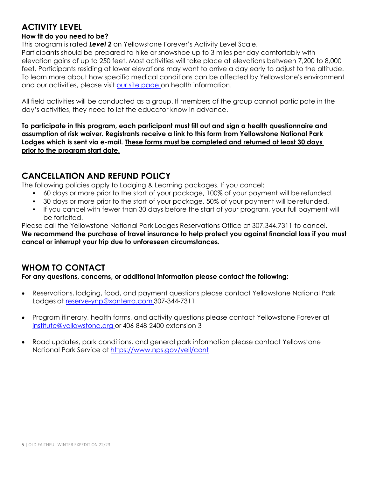# **ACTIVITY LEVEL**

## **How fit do you need to be?**

This program is rated *Level 2* on Yellowstone Forever's Activity Level Scale.

Participants should be prepared to hike or snowshoe up to 3 miles per day comfortably with elevation gains of up to 250 feet. Most activities will take place at elevations between 7,200 to 8,000 feet. Participants residing at lower elevations may want to arrive a day early to adjust to the altitude. To learn more about how specific medical conditions can be affected by Yellowstone's environment and our activities, please visit our site page on health information.

All field activities will be conducted as a group. If members of the group cannot participate in the day's activities, they need to let the educator know in advance.

**To participate in this program, each participant must fill out and sign a health questionnaire and assumption of risk waiver. Registrants receive a link to this form from Yellowstone National Park Lodges which is sent via e-mail. These forms must be completed and returned at least 30 days prior to the program start date.** 

# **CANCELLATION AND REFUND POLICY**

The following policies apply to Lodging & Learning packages. If you cancel:

- 60 days or more prior to the start of your package, 100% of your payment will be refunded.
- 30 days or more prior to the start of your package, 50% of your payment will be refunded.
- If you cancel with fewer than 30 days before the start of your program, your full payment will be forfeited.

Please call the Yellowstone National Park Lodges Reservations Office at 307.344.7311 to cancel.

**We recommend the purchase of travel insurance to help protect you against financial loss if you must cancel or interrupt your trip due to unforeseen circumstances.** 

# **WHOM TO CONTACT**

**For any questions, concerns, or additional information please contact the following:** 

- Reservations, lodging, food, and payment questions please contact Yellowstone National Park Lodges at reserve-ynp@xanterra.com 307-344-7311
- Program itinerary, health forms, and activity questions please contact Yellowstone Forever at institute@yellowstone.org or 406-848-2400 extension 3
- Road updates, park conditions, and general park information please contact Yellowstone National Park Service at https://www.nps.gov/yell/cont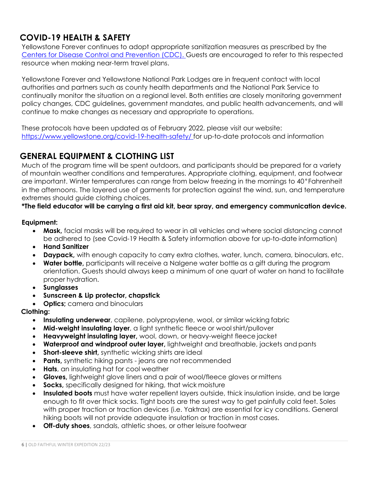# **COVID-19 HEALTH & SAFETY**

Yellowstone Forever continues to adopt appropriate sanitization measures as prescribed by the Centers for Disease Control and Prevention (CDC). Guests are encouraged to refer to this respected resource when making near-term travel plans.

Yellowstone Forever and Yellowstone National Park Lodges are in frequent contact with local authorities and partners such as county health departments and the National Park Service to continually monitor the situation on a regional level. Both entities are closely monitoring government policy changes, CDC guidelines, government mandates, and public health advancements, and will continue to make changes as necessary and appropriate to operations.

These protocols have been updated as of February 2022, please visit our website: https://www.yellowstone.org/covid-19-health-safety/ for up-to-date protocols and information

# **GENERAL EQUIPMENT & CLOTHING LIST**

Much of the program time will be spent outdoors, and participants should be prepared for a variety of mountain weather conditions and temperatures. Appropriate clothing, equipment, and footwear are important. Winter temperatures can range from below freezing in the mornings to 40°Fahrenheit in the afternoons. The layered use of garments for protection against the wind, sun, and temperature extremes should guide clothing choices.

## **\*The field educator will be carrying a first aid kit, bear spray, and emergency communication device.**

### **Equipment:**

- **Mask,** facial masks will be required to wear in all vehicles and where social distancing cannot be adhered to (see Covid-19 Health & Safety information above for up-to-date information)
- **Hand Sanitizer**
- **Daypack,** with enough capacity to carry extra clothes, water, lunch, camera, binoculars, etc.
- **Water bottle,** participants will receive a Nalgene water bottle as a gift during the program orientation. Guests should always keep a minimum of one quart of water on hand to facilitate proper hydration.
- **Sunglasses**
- **Sunscreen & Lip protector, chapstick**
- **Optics;** camera and binoculars

## **Clothing:**

- **Insulating underwear**, capilene, polypropylene, wool, or similar wicking fabric
- **Mid-weight insulating layer**, a light synthetic fleece or wool shirt/pullover
- **Heavyweight insulating layer,** wool, down, or heavy-weight fleece jacket
- **Waterproof and windproof outer layer,** lightweight and breathable, jackets and pants
- **Short-sleeve shirt,** synthetic wicking shirts are ideal
- **Pants,** synthetic hiking pants jeans are not recommended
- **Hats**, an insulating hat for cool weather
- **Gloves,** lightweight glove liners and a pair of wool/fleece gloves or mittens
- **Socks,** specifically designed for hiking, that wick moisture
- **Insulated boots** must have water repellent layers outside, thick insulation inside, and be large enough to fit over thick socks. Tight boots are the surest way to get painfully cold feet. Soles with proper traction or traction devices (i.e. Yaktrax) are essential for icy conditions. General hiking boots will not provide adequate insulation or traction in most cases.
- **Off-duty shoes**, sandals, athletic shoes, or other leisure footwear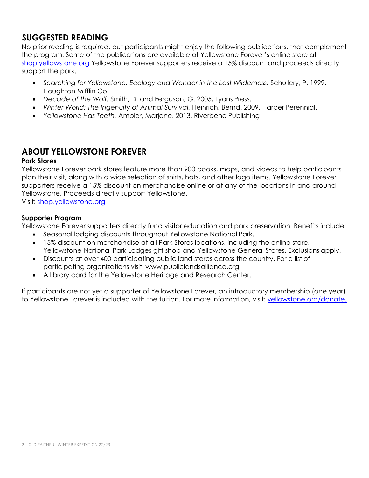# **SUGGESTED READING**

No prior reading is required, but participants might enjoy the following publications, that complement the program. Some of the publications are available at Yellowstone Forever's online store at shop.yellowstone.org Yellowstone Forever supporters receive a 15% discount and proceeds directly support the park.

- *Searching for Yellowstone: Ecology and Wonder in the Last Wilderness.* Schullery, P. 1999. Houghton Mifflin Co.
- *Decade of the Wolf.* Smith, D. and Ferguson, G. 2005, Lyons Press.
- *Winter World: The Ingenuity of Animal Survival.* Heinrich, Bernd. 2009. Harper Perennial.
- *Yellowstone Has Teeth.* Ambler, Marjane. 2013. Riverbend Publishing

# **ABOUT YELLOWSTONE FOREVER**

### **Park Stores**

Yellowstone Forever park stores feature more than 900 books, maps, and videos to help participants plan their visit, along with a wide selection of shirts, hats, and other logo items. Yellowstone Forever supporters receive a 15% discount on merchandise online or at any of the locations in and around Yellowstone. Proceeds directly support Yellowstone.

Visit: shop.yellowstone.org

### **Supporter Program**

Yellowstone Forever supporters directly fund visitor education and park preservation. Benefits include:

- Seasonal lodging discounts throughout Yellowstone National Park.
- 15% discount on merchandise at all Park Stores locations, including the online store, Yellowstone National Park Lodges gift shop and Yellowstone General Stores. Exclusions apply.
- Discounts at over 400 participating public land stores across the country. For a list of participating organizations visit: www.publiclandsalliance.org
- A library card for the Yellowstone Heritage and Research Center.

If participants are not yet a supporter of Yellowstone Forever, an introductory membership (one year) to Yellowstone Forever is included with the tuition. For more information, visit: yellowstone.org/donate.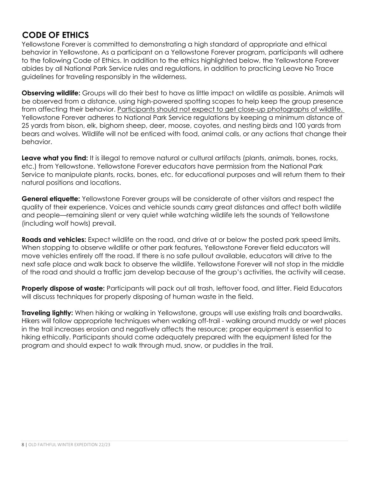# **CODE OF ETHICS**

Yellowstone Forever is committed to demonstrating a high standard of appropriate and ethical behavior in Yellowstone. As a participant on a Yellowstone Forever program, participants will adhere to the following Code of Ethics. In addition to the ethics highlighted below, the Yellowstone Forever abides by all National Park Service rules and regulations, in addition to practicing Leave No Trace guidelines for traveling responsibly in the wilderness.

**Observing wildlife:** Groups will do their best to have as little impact on wildlife as possible. Animals will be observed from a distance, using high-powered spotting scopes to help keep the group presence from affecting their behavior. Participants should not expect to get close-up photographs of wildlife. Yellowstone Forever adheres to National Park Service regulations by keeping a minimum distance of 25 yards from bison, elk, bighorn sheep, deer, moose, coyotes, and nesting birds and 100 yards from bears and wolves. Wildlife will not be enticed with food, animal calls, or any actions that change their behavior.

Leave what you find: It is illegal to remove natural or cultural artifacts (plants, animals, bones, rocks, etc.) from Yellowstone. Yellowstone Forever educators have permission from the National Park Service to manipulate plants, rocks, bones, etc. for educational purposes and will return them to their natural positions and locations.

**General etiquette:** Yellowstone Forever groups will be considerate of other visitors and respect the quality of their experience. Voices and vehicle sounds carry great distances and affect both wildlife and people—remaining silent or very quiet while watching wildlife lets the sounds of Yellowstone (including wolf howls) prevail.

**Roads and vehicles:** Expect wildlife on the road, and drive at or below the posted park speed limits. When stopping to observe wildlife or other park features, Yellowstone Forever field educators will move vehicles entirely off the road. If there is no safe pullout available, educators will drive to the next safe place and walk back to observe the wildlife. Yellowstone Forever will not stop in the middle of the road and should a traffic jam develop because of the group's activities, the activity will cease.

**Properly dispose of waste:** Participants will pack out all trash, leftover food, and litter. Field Educators will discuss techniques for properly disposing of human waste in the field.

**Traveling lightly:** When hiking or walking in Yellowstone, groups will use existing trails and boardwalks. Hikers will follow appropriate techniques when walking off-trail - walking around muddy or wet places in the trail increases erosion and negatively affects the resource; proper equipment is essential to hiking ethically. Participants should come adequately prepared with the equipment listed for the program and should expect to walk through mud, snow, or puddles in the trail.